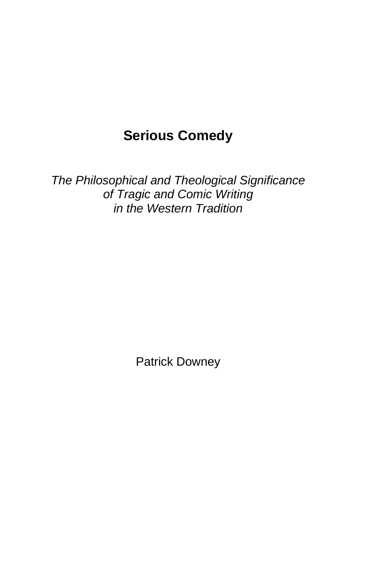# **Serious Comedy**

*The Philosophical and Theological Significance of Tragic and Comic Writing in the Western Tradition*

Patrick Downey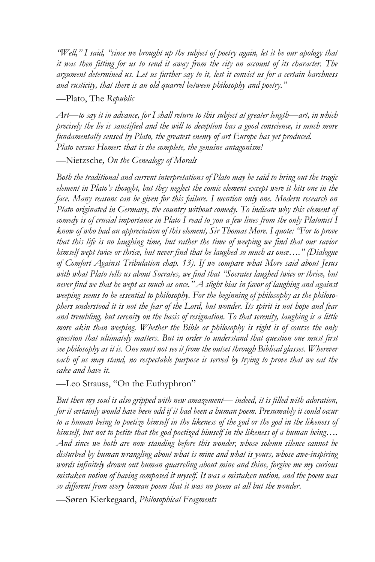*"Well," I said, "since we brought up the subject of poetry again, let it be our apology that it was then fitting for us to send it away from the city on account of its character. The argument determined us. Let us further say to it, lest it convict us for a certain harshness and rusticity, that there is an old quarrel between philosophy and poetry."*

—Plato, The *Republic*

*Art—to say it in advance, for I shall return to this subject at greater length—art, in which precisely the lie is sanctified and the will to deception has a good conscience, is much more fundamentally sensed by Plato, the greatest enemy of art Europe has yet produced. Plato versus Homer: that is the complete, the genuine antagonism!* 

—Nietzsche*, On the Genealogy of Morals*

*Both the traditional and current interpretations of Plato may be said to bring out the tragic element in Plato's thought, but they neglect the comic element except were it hits one in the face. Many reasons can be given for this failure. I mention only one. Modern research on*  Plato originated in Germany, the country without comedy. To indicate why this element of *comedy is of crucial importance in Plato I read to you a few lines from the only Platonist I know of who had an appreciation of this element, Sir Thomas More. I quote: "For to prove that this life is no laughing time, but rather the time of weeping we find that our savior himself wept twice or thrice, but never find that he laughed so much as once…." (Dialogue of Comfort Against Tribulation chap. 13). If we compare what More said about Jesus with what Plato tells us about Socrates, we find that "Socrates laughed twice or thrice, but never find we that he wept as much as once." A slight bias in favor of laughing and against weeping seems to be essential to philosophy. For the beginning of philosophy as the philosophers understood it is not the fear of the Lord, but wonder. Its spirit is not hope and fear and trembling, but serenity on the basis of resignation. To that serenity, laughing is a little more akin than weeping. Whether the Bible or philosophy is right is of course the only question that ultimately matters. But in order to understand that question one must first see philosophy as it is. One must not see it from the outset through Biblical glasses. Wherever*  each of us may stand, no respectable purpose is served by trying to prove that we eat the *cake and have it.* 

—Leo Strauss, "On the Euthyphron"

*But then my soul is also gripped with new amazement— indeed, it is filled with adoration, for it certainly would have been odd if it had been a human poem. Presumably it could occur to a human being to poetize himself in the likeness of the god or the god in the likeness of himself, but not to petite that the god poetized himself in the likeness of a human being…. And since we both are now standing before this wonder, whose solemn silence cannot be disturbed by human wrangling about what is mine and what is yours, whose awe-inspiring words infinitely drown out human quarreling about mine and thine, forgive me my curious mistaken notion of having composed it myself. It was a mistaken notion, and the poem was so different from every human poem that it was no poem at all but the wonder.*

—Søren Kierkegaard, *Philosophical Fragments*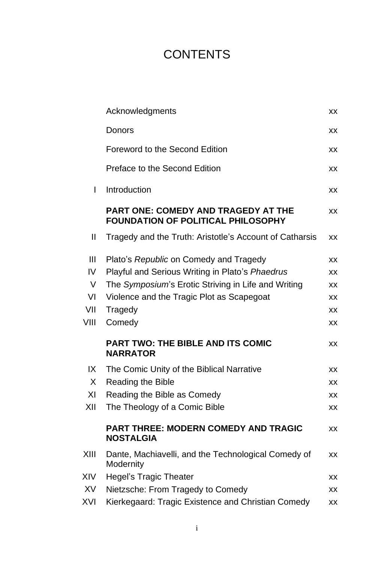# **CONTENTS**

|                                   | Acknowledgments                                                                                                                                                                                                    | XX                               |
|-----------------------------------|--------------------------------------------------------------------------------------------------------------------------------------------------------------------------------------------------------------------|----------------------------------|
|                                   | Donors                                                                                                                                                                                                             | XX                               |
|                                   | Foreword to the Second Edition                                                                                                                                                                                     | XX                               |
|                                   | Preface to the Second Edition                                                                                                                                                                                      | XХ                               |
| L                                 | Introduction                                                                                                                                                                                                       | XX                               |
|                                   | PART ONE: COMEDY AND TRAGEDY AT THE<br><b>FOUNDATION OF POLITICAL PHILOSOPHY</b>                                                                                                                                   | XX                               |
| Ш                                 | Tragedy and the Truth: Aristotle's Account of Catharsis                                                                                                                                                            | XX                               |
| Ш<br>IV<br>V<br>VI<br>VII<br>VIII | Plato's Republic on Comedy and Tragedy<br>Playful and Serious Writing in Plato's Phaedrus<br>The Symposium's Erotic Striving in Life and Writing<br>Violence and the Tragic Plot as Scapegoat<br>Tragedy<br>Comedy | XX<br>XХ<br>XХ<br>XX<br>XX<br>XX |
|                                   | <b>PART TWO: THE BIBLE AND ITS COMIC</b><br><b>NARRATOR</b>                                                                                                                                                        | XX                               |
| IX<br>X<br>ΧI<br>XII              | The Comic Unity of the Biblical Narrative<br>Reading the Bible<br>Reading the Bible as Comedy<br>The Theology of a Comic Bible                                                                                     | XX<br>XX<br>XX<br>XX             |
|                                   | PART THREE: MODERN COMEDY AND TRAGIC<br><b>NOSTALGIA</b>                                                                                                                                                           | XX                               |
| XIII                              | Dante, Machiavelli, and the Technological Comedy of<br>Modernity                                                                                                                                                   | XX                               |
| XIV                               | Hegel's Tragic Theater                                                                                                                                                                                             | XX                               |
| XV                                | Nietzsche: From Tragedy to Comedy                                                                                                                                                                                  | XX                               |
| XVI                               | Kierkegaard: Tragic Existence and Christian Comedy                                                                                                                                                                 | XX                               |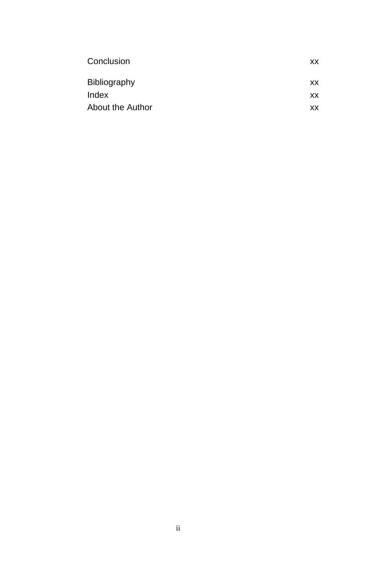| Conclusion       | XX. |
|------------------|-----|
| Bibliography     | XX. |
| Index            | XX. |
| About the Author | xх  |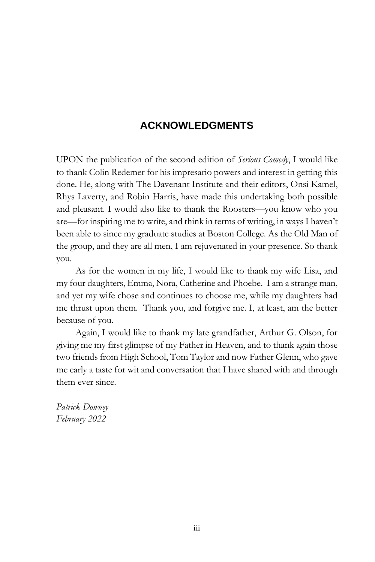## **ACKNOWLEDGMENTS**

UPON the publication of the second edition of *Serious Comedy*, I would like to thank Colin Redemer for his impresario powers and interest in getting this done. He, along with The Davenant Institute and their editors, Onsi Kamel, Rhys Laverty, and Robin Harris, have made this undertaking both possible and pleasant. I would also like to thank the Roosters—you know who you are—for inspiring me to write, and think in terms of writing, in ways I haven't been able to since my graduate studies at Boston College. As the Old Man of the group, and they are all men, I am rejuvenated in your presence. So thank you.

As for the women in my life, I would like to thank my wife Lisa, and my four daughters, Emma, Nora, Catherine and Phoebe. I am a strange man, and yet my wife chose and continues to choose me, while my daughters had me thrust upon them. Thank you, and forgive me. I, at least, am the better because of you.

Again, I would like to thank my late grandfather, Arthur G. Olson, for giving me my first glimpse of my Father in Heaven, and to thank again those two friends from High School, Tom Taylor and now Father Glenn, who gave me early a taste for wit and conversation that I have shared with and through them ever since.

*Patrick Downey February 2022*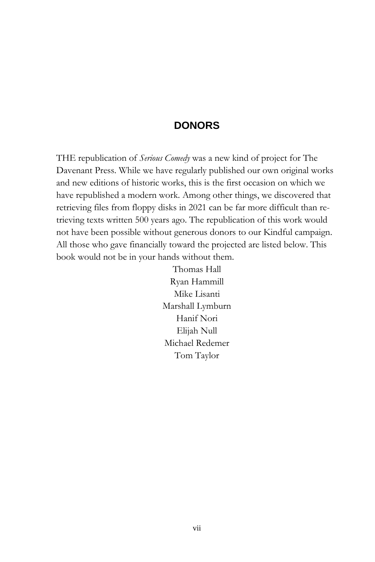### **DONORS**

THE republication of *Serious Comedy* was a new kind of project for The Davenant Press. While we have regularly published our own original works and new editions of historic works, this is the first occasion on which we have republished a modern work. Among other things, we discovered that retrieving files from floppy disks in 2021 can be far more difficult than retrieving texts written 500 years ago. The republication of this work would not have been possible without generous donors to our Kindful campaign. All those who gave financially toward the projected are listed below. This book would not be in your hands without them.

> Thomas Hall Ryan Hammill Mike Lisanti Marshall Lymburn Hanif Nori Elijah Null Michael Redemer Tom Taylor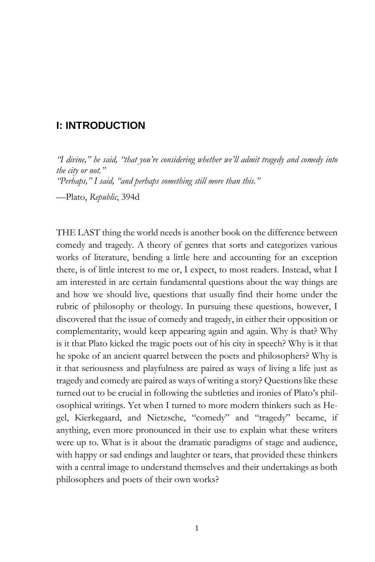### **I: INTRODUCTION**

*"I divine," he said, "that you're considering whether we'll admit tragedy and comedy into the city or not."*

*"Perhaps," I said, "and perhaps something still more than this."*

—Plato, *Republic*, 394d

THE LAST thing the world needs is another book on the difference between comedy and tragedy. A theory of genres that sorts and categorizes various works of literature, bending a little here and accounting for an exception there, is of little interest to me or, I expect, to most readers. Instead, what I am interested in are certain fundamental questions about the way things are and how we should live, questions that usually find their home under the rubric of philosophy or theology. In pursuing these questions, however, I discovered that the issue of comedy and tragedy, in either their opposition or complementarity, would keep appearing again and again. Why is that? Why is it that Plato kicked the tragic poets out of his city in speech? Why is it that he spoke of an ancient quarrel between the poets and philosophers? Why is it that seriousness and playfulness are paired as ways of living a life just as tragedy and comedy are paired as ways of writing a story? Questions like these turned out to be crucial in following the subtleties and ironies of Plato's philosophical writings. Yet when I turned to more modern thinkers such as Hegel, Kierkegaard, and Nietzsche, "comedy" and "tragedy" became, if anything, even more pronounced in their use to explain what these writers were up to. What is it about the dramatic paradigms of stage and audience, with happy or sad endings and laughter or tears, that provided these thinkers with a central image to understand themselves and their undertakings as both philosophers and poets of their own works?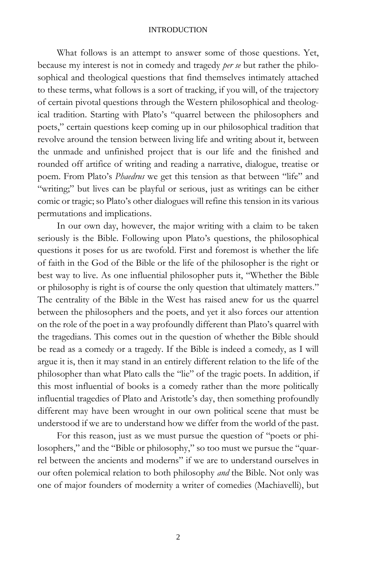What follows is an attempt to answer some of those questions. Yet, because my interest is not in comedy and tragedy *per se* but rather the philosophical and theological questions that find themselves intimately attached to these terms, what follows is a sort of tracking, if you will, of the trajectory of certain pivotal questions through the Western philosophical and theological tradition. Starting with Plato's "quarrel between the philosophers and poets," certain questions keep coming up in our philosophical tradition that revolve around the tension between living life and writing about it, between the unmade and unfinished project that is our life and the finished and rounded off artifice of writing and reading a narrative, dialogue, treatise or poem. From Plato's *Phaedrus* we get this tension as that between "life" and "writing;" but lives can be playful or serious, just as writings can be either comic or tragic; so Plato's other dialogues will refine this tension in its various permutations and implications.

In our own day, however, the major writing with a claim to be taken seriously is the Bible. Following upon Plato's questions, the philosophical questions it poses for us are twofold. First and foremost is whether the life of faith in the God of the Bible or the life of the philosopher is the right or best way to live. As one influential philosopher puts it, "Whether the Bible or philosophy is right is of course the only question that ultimately matters." The centrality of the Bible in the West has raised anew for us the quarrel between the philosophers and the poets, and yet it also forces our attention on the role of the poet in a way profoundly different than Plato's quarrel with the tragedians. This comes out in the question of whether the Bible should be read as a comedy or a tragedy. If the Bible is indeed a comedy, as I will argue it is, then it may stand in an entirely different relation to the life of the philosopher than what Plato calls the "lie" of the tragic poets. In addition, if this most influential of books is a comedy rather than the more politically influential tragedies of Plato and Aristotle's day, then something profoundly different may have been wrought in our own political scene that must be understood if we are to understand how we differ from the world of the past.

For this reason, just as we must pursue the question of "poets or philosophers," and the "Bible or philosophy," so too must we pursue the "quarrel between the ancients and moderns" if we are to understand ourselves in our often polemical relation to both philosophy *and* the Bible. Not only was one of major founders of modernity a writer of comedies (Machiavelli), but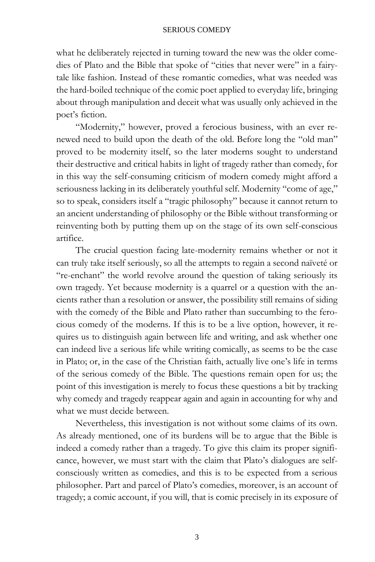what he deliberately rejected in turning toward the new was the older comedies of Plato and the Bible that spoke of "cities that never were" in a fairytale like fashion. Instead of these romantic comedies, what was needed was the hard-boiled technique of the comic poet applied to everyday life, bringing about through manipulation and deceit what was usually only achieved in the poet's fiction.

"Modernity," however, proved a ferocious business, with an ever renewed need to build upon the death of the old. Before long the "old man" proved to be modernity itself, so the later moderns sought to understand their destructive and critical habits in light of tragedy rather than comedy, for in this way the self-consuming criticism of modern comedy might afford a seriousness lacking in its deliberately youthful self. Modernity "come of age," so to speak, considers itself a "tragic philosophy" because it cannot return to an ancient understanding of philosophy or the Bible without transforming or reinventing both by putting them up on the stage of its own self-conscious artifice.

The crucial question facing late-modernity remains whether or not it can truly take itself seriously, so all the attempts to regain a second naïveté or "re-enchant" the world revolve around the question of taking seriously its own tragedy. Yet because modernity is a quarrel or a question with the ancients rather than a resolution or answer, the possibility still remains of siding with the comedy of the Bible and Plato rather than succumbing to the ferocious comedy of the moderns. If this is to be a live option, however, it requires us to distinguish again between life and writing, and ask whether one can indeed live a serious life while writing comically, as seems to be the case in Plato; or, in the case of the Christian faith, actually live one's life in terms of the serious comedy of the Bible. The questions remain open for us; the point of this investigation is merely to focus these questions a bit by tracking why comedy and tragedy reappear again and again in accounting for why and what we must decide between.

Nevertheless, this investigation is not without some claims of its own. As already mentioned, one of its burdens will be to argue that the Bible is indeed a comedy rather than a tragedy. To give this claim its proper significance, however, we must start with the claim that Plato's dialogues are selfconsciously written as comedies, and this is to be expected from a serious philosopher. Part and parcel of Plato's comedies, moreover, is an account of tragedy; a comic account, if you will, that is comic precisely in its exposure of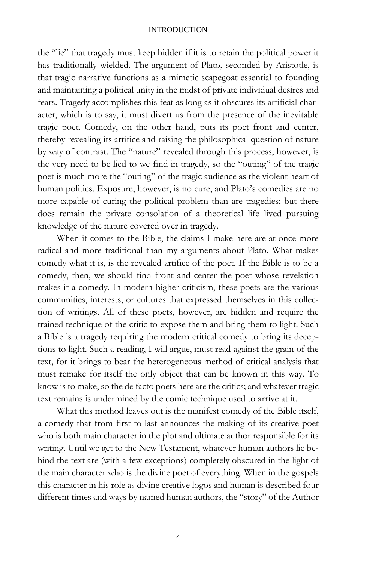the "lie" that tragedy must keep hidden if it is to retain the political power it has traditionally wielded. The argument of Plato, seconded by Aristotle, is that tragic narrative functions as a mimetic scapegoat essential to founding and maintaining a political unity in the midst of private individual desires and fears. Tragedy accomplishes this feat as long as it obscures its artificial character, which is to say, it must divert us from the presence of the inevitable tragic poet. Comedy, on the other hand, puts its poet front and center, thereby revealing its artifice and raising the philosophical question of nature by way of contrast. The "nature" revealed through this process, however, is the very need to be lied to we find in tragedy, so the "outing" of the tragic poet is much more the "outing" of the tragic audience as the violent heart of human politics. Exposure, however, is no cure, and Plato's comedies are no more capable of curing the political problem than are tragedies; but there does remain the private consolation of a theoretical life lived pursuing knowledge of the nature covered over in tragedy.

When it comes to the Bible, the claims I make here are at once more radical and more traditional than my arguments about Plato. What makes comedy what it is, is the revealed artifice of the poet. If the Bible is to be a comedy, then, we should find front and center the poet whose revelation makes it a comedy. In modern higher criticism, these poets are the various communities, interests, or cultures that expressed themselves in this collection of writings. All of these poets, however, are hidden and require the trained technique of the critic to expose them and bring them to light. Such a Bible is a tragedy requiring the modern critical comedy to bring its deceptions to light. Such a reading, I will argue, must read against the grain of the text, for it brings to bear the heterogeneous method of critical analysis that must remake for itself the only object that can be known in this way. To know is to make, so the de facto poets here are the critics; and whatever tragic text remains is undermined by the comic technique used to arrive at it.

What this method leaves out is the manifest comedy of the Bible itself, a comedy that from first to last announces the making of its creative poet who is both main character in the plot and ultimate author responsible for its writing. Until we get to the New Testament, whatever human authors lie behind the text are (with a few exceptions) completely obscured in the light of the main character who is the divine poet of everything. When in the gospels this character in his role as divine creative logos and human is described four different times and ways by named human authors, the "story" of the Author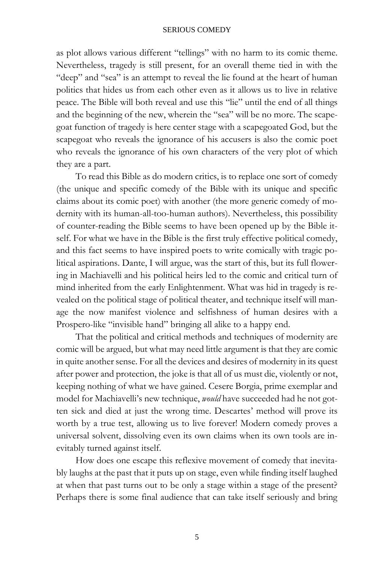as plot allows various different "tellings" with no harm to its comic theme. Nevertheless, tragedy is still present, for an overall theme tied in with the "deep" and "sea" is an attempt to reveal the lie found at the heart of human politics that hides us from each other even as it allows us to live in relative peace. The Bible will both reveal and use this "lie" until the end of all things and the beginning of the new, wherein the "sea" will be no more. The scapegoat function of tragedy is here center stage with a scapegoated God, but the scapegoat who reveals the ignorance of his accusers is also the comic poet who reveals the ignorance of his own characters of the very plot of which they are a part.

To read this Bible as do modern critics, is to replace one sort of comedy (the unique and specific comedy of the Bible with its unique and specific claims about its comic poet) with another (the more generic comedy of modernity with its human-all-too-human authors). Nevertheless, this possibility of counter-reading the Bible seems to have been opened up by the Bible itself. For what we have in the Bible is the first truly effective political comedy, and this fact seems to have inspired poets to write comically with tragic political aspirations. Dante, I will argue, was the start of this, but its full flowering in Machiavelli and his political heirs led to the comic and critical turn of mind inherited from the early Enlightenment. What was hid in tragedy is revealed on the political stage of political theater, and technique itself will manage the now manifest violence and selfishness of human desires with a Prospero-like "invisible hand" bringing all alike to a happy end.

That the political and critical methods and techniques of modernity are comic will be argued, but what may need little argument is that they are comic in quite another sense. For all the devices and desires of modernity in its quest after power and protection, the joke is that all of us must die, violently or not, keeping nothing of what we have gained. Cesere Borgia, prime exemplar and model for Machiavelli's new technique, *would* have succeeded had he not gotten sick and died at just the wrong time. Descartes' method will prove its worth by a true test, allowing us to live forever! Modern comedy proves a universal solvent, dissolving even its own claims when its own tools are inevitably turned against itself.

How does one escape this reflexive movement of comedy that inevitably laughs at the past that it puts up on stage, even while finding itself laughed at when that past turns out to be only a stage within a stage of the present? Perhaps there is some final audience that can take itself seriously and bring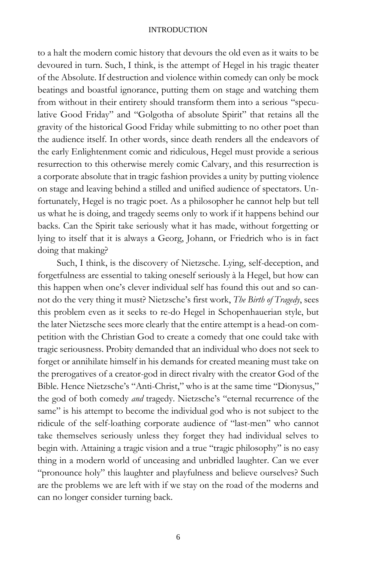to a halt the modern comic history that devours the old even as it waits to be devoured in turn. Such, I think, is the attempt of Hegel in his tragic theater of the Absolute. If destruction and violence within comedy can only be mock beatings and boastful ignorance, putting them on stage and watching them from without in their entirety should transform them into a serious "speculative Good Friday" and "Golgotha of absolute Spirit" that retains all the gravity of the historical Good Friday while submitting to no other poet than the audience itself. In other words, since death renders all the endeavors of the early Enlightenment comic and ridiculous, Hegel must provide a serious resurrection to this otherwise merely comic Calvary, and this resurrection is a corporate absolute that in tragic fashion provides a unity by putting violence on stage and leaving behind a stilled and unified audience of spectators. Unfortunately, Hegel is no tragic poet. As a philosopher he cannot help but tell us what he is doing, and tragedy seems only to work if it happens behind our backs. Can the Spirit take seriously what it has made, without forgetting or lying to itself that it is always a Georg, Johann, or Friedrich who is in fact doing that making?

Such, I think, is the discovery of Nietzsche. Lying, self-deception, and forgetfulness are essential to taking oneself seriously à la Hegel, but how can this happen when one's clever individual self has found this out and so cannot do the very thing it must? Nietzsche's first work, *The Birth of Tragedy*, sees this problem even as it seeks to re-do Hegel in Schopenhauerian style, but the later Nietzsche sees more clearly that the entire attempt is a head-on competition with the Christian God to create a comedy that one could take with tragic seriousness. Probity demanded that an individual who does not seek to forget or annihilate himself in his demands for created meaning must take on the prerogatives of a creator-god in direct rivalry with the creator God of the Bible. Hence Nietzsche's "Anti-Christ," who is at the same time "Dionysus," the god of both comedy *and* tragedy. Nietzsche's "eternal recurrence of the same" is his attempt to become the individual god who is not subject to the ridicule of the self-loathing corporate audience of "last-men" who cannot take themselves seriously unless they forget they had individual selves to begin with. Attaining a tragic vision and a true "tragic philosophy" is no easy thing in a modern world of unceasing and unbridled laughter. Can we ever "pronounce holy" this laughter and playfulness and believe ourselves? Such are the problems we are left with if we stay on the road of the moderns and can no longer consider turning back.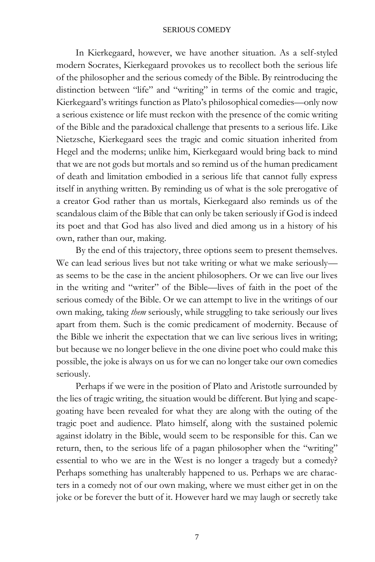In Kierkegaard, however, we have another situation. As a self-styled modern Socrates, Kierkegaard provokes us to recollect both the serious life of the philosopher and the serious comedy of the Bible. By reintroducing the distinction between "life" and "writing" in terms of the comic and tragic, Kierkegaard's writings function as Plato's philosophical comedies—only now a serious existence or life must reckon with the presence of the comic writing of the Bible and the paradoxical challenge that presents to a serious life. Like Nietzsche, Kierkegaard sees the tragic and comic situation inherited from Hegel and the moderns; unlike him, Kierkegaard would bring back to mind that we are not gods but mortals and so remind us of the human predicament of death and limitation embodied in a serious life that cannot fully express itself in anything written. By reminding us of what is the sole prerogative of a creator God rather than us mortals, Kierkegaard also reminds us of the scandalous claim of the Bible that can only be taken seriously if God is indeed its poet and that God has also lived and died among us in a history of his own, rather than our, making.

By the end of this trajectory, three options seem to present themselves. We can lead serious lives but not take writing or what we make seriously as seems to be the case in the ancient philosophers. Or we can live our lives in the writing and "writer" of the Bible—lives of faith in the poet of the serious comedy of the Bible. Or we can attempt to live in the writings of our own making, taking *them* seriously, while struggling to take seriously our lives apart from them. Such is the comic predicament of modernity. Because of the Bible we inherit the expectation that we can live serious lives in writing; but because we no longer believe in the one divine poet who could make this possible, the joke is always on us for we can no longer take our own comedies seriously.

Perhaps if we were in the position of Plato and Aristotle surrounded by the lies of tragic writing, the situation would be different. But lying and scapegoating have been revealed for what they are along with the outing of the tragic poet and audience. Plato himself, along with the sustained polemic against idolatry in the Bible, would seem to be responsible for this. Can we return, then, to the serious life of a pagan philosopher when the "writing" essential to who we are in the West is no longer a tragedy but a comedy? Perhaps something has unalterably happened to us. Perhaps we are characters in a comedy not of our own making, where we must either get in on the joke or be forever the butt of it. However hard we may laugh or secretly take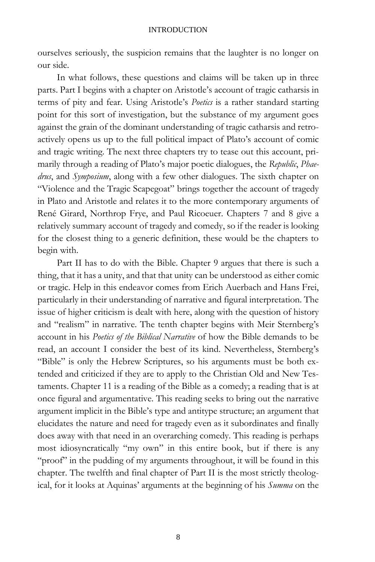ourselves seriously, the suspicion remains that the laughter is no longer on our side.

In what follows, these questions and claims will be taken up in three parts. Part I begins with a chapter on Aristotle's account of tragic catharsis in terms of pity and fear. Using Aristotle's *Poetics* is a rather standard starting point for this sort of investigation, but the substance of my argument goes against the grain of the dominant understanding of tragic catharsis and retroactively opens us up to the full political impact of Plato's account of comic and tragic writing. The next three chapters try to tease out this account, primarily through a reading of Plato's major poetic dialogues, the *Republic*, *Phaedrus*, and *Symposium*, along with a few other dialogues. The sixth chapter on "Violence and the Tragic Scapegoat" brings together the account of tragedy in Plato and Aristotle and relates it to the more contemporary arguments of René Girard, Northrop Frye, and Paul Ricoeuer. Chapters 7 and 8 give a relatively summary account of tragedy and comedy, so if the reader is looking for the closest thing to a generic definition, these would be the chapters to begin with.

Part II has to do with the Bible. Chapter 9 argues that there is such a thing, that it has a unity, and that that unity can be understood as either comic or tragic. Help in this endeavor comes from Erich Auerbach and Hans Frei, particularly in their understanding of narrative and figural interpretation. The issue of higher criticism is dealt with here, along with the question of history and "realism" in narrative. The tenth chapter begins with Meir Sternberg's account in his *Poetics of the Biblical Narrative* of how the Bible demands to be read, an account I consider the best of its kind. Nevertheless, Sternberg's "Bible" is only the Hebrew Scriptures, so his arguments must be both extended and criticized if they are to apply to the Christian Old and New Testaments. Chapter 11 is a reading of the Bible as a comedy; a reading that is at once figural and argumentative. This reading seeks to bring out the narrative argument implicit in the Bible's type and antitype structure; an argument that elucidates the nature and need for tragedy even as it subordinates and finally does away with that need in an overarching comedy. This reading is perhaps most idiosyncratically "my own" in this entire book, but if there is any "proof" in the pudding of my arguments throughout, it will be found in this chapter. The twelfth and final chapter of Part II is the most strictly theological, for it looks at Aquinas' arguments at the beginning of his *Summa* on the